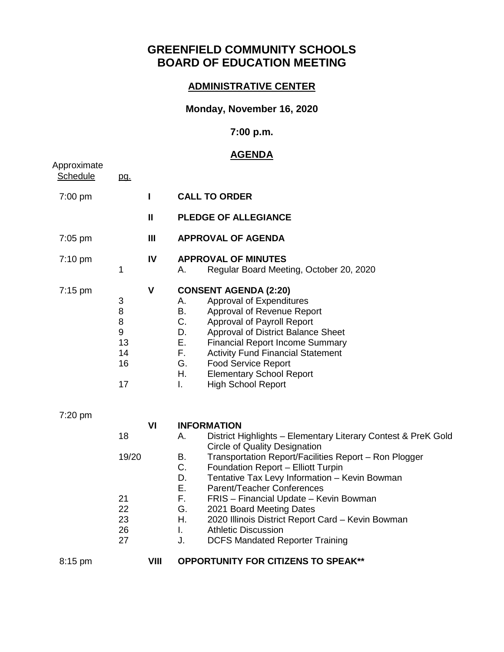# **GREENFIELD COMMUNITY SCHOOLS BOARD OF EDUCATION MEETING**

## **ADMINISTRATIVE CENTER**

### **Monday, November 16, 2020**

### **7:00 p.m.**

## **AGENDA**

| Approximate       |                                                          |              | <u>AGENDA</u>                                                                                                                                                                                                                                                                                                                                                                                                                                                                                                                                                            |
|-------------------|----------------------------------------------------------|--------------|--------------------------------------------------------------------------------------------------------------------------------------------------------------------------------------------------------------------------------------------------------------------------------------------------------------------------------------------------------------------------------------------------------------------------------------------------------------------------------------------------------------------------------------------------------------------------|
| Schedule          | pg.                                                      |              |                                                                                                                                                                                                                                                                                                                                                                                                                                                                                                                                                                          |
| 7:00 pm           |                                                          | $\mathbf{I}$ | <b>CALL TO ORDER</b>                                                                                                                                                                                                                                                                                                                                                                                                                                                                                                                                                     |
|                   |                                                          | $\mathbf{I}$ | <b>PLEDGE OF ALLEGIANCE</b>                                                                                                                                                                                                                                                                                                                                                                                                                                                                                                                                              |
| 7:05 pm           |                                                          | Ш            | <b>APPROVAL OF AGENDA</b>                                                                                                                                                                                                                                                                                                                                                                                                                                                                                                                                                |
| 7:10 pm           | 1                                                        | IV           | <b>APPROVAL OF MINUTES</b><br>Regular Board Meeting, October 20, 2020<br>А.                                                                                                                                                                                                                                                                                                                                                                                                                                                                                              |
| $7:15 \text{ pm}$ | 3<br>$\,8\,$<br>$\bf 8$<br>$9\,$<br>13<br>14<br>16<br>17 | $\mathbf v$  | <b>CONSENT AGENDA (2:20)</b><br>Approval of Expenditures<br>Α.<br><b>B.</b><br>Approval of Revenue Report<br>C.<br>Approval of Payroll Report<br>Approval of District Balance Sheet<br>D.<br>Е.<br><b>Financial Report Income Summary</b><br>F.<br><b>Activity Fund Financial Statement</b><br>G.<br><b>Food Service Report</b><br>Η.<br><b>Elementary School Report</b><br><b>High School Report</b><br>Ι.                                                                                                                                                              |
| 7:20 pm           | 18<br>19/20<br>21<br>22<br>23<br>26<br>27                | VI           | <b>INFORMATION</b><br>Α.<br>District Highlights - Elementary Literary Contest & PreK Gold<br><b>Circle of Quality Designation</b><br>Transportation Report/Facilities Report - Ron Plogger<br>B.<br>C.<br>Foundation Report - Elliott Turpin<br>D.<br>Tentative Tax Levy Information - Kevin Bowman<br>Е.<br>Parent/Teacher Conferences<br>F.<br>FRIS - Financial Update - Kevin Bowman<br>G.<br>2021 Board Meeting Dates<br>Η.<br>2020 Illinois District Report Card - Kevin Bowman<br>L.<br><b>Athletic Discussion</b><br>J.<br><b>DCFS Mandated Reporter Training</b> |
| $8:15$ pm         |                                                          | VIII         | <b>OPPORTUNITY FOR CITIZENS TO SPEAK**</b>                                                                                                                                                                                                                                                                                                                                                                                                                                                                                                                               |